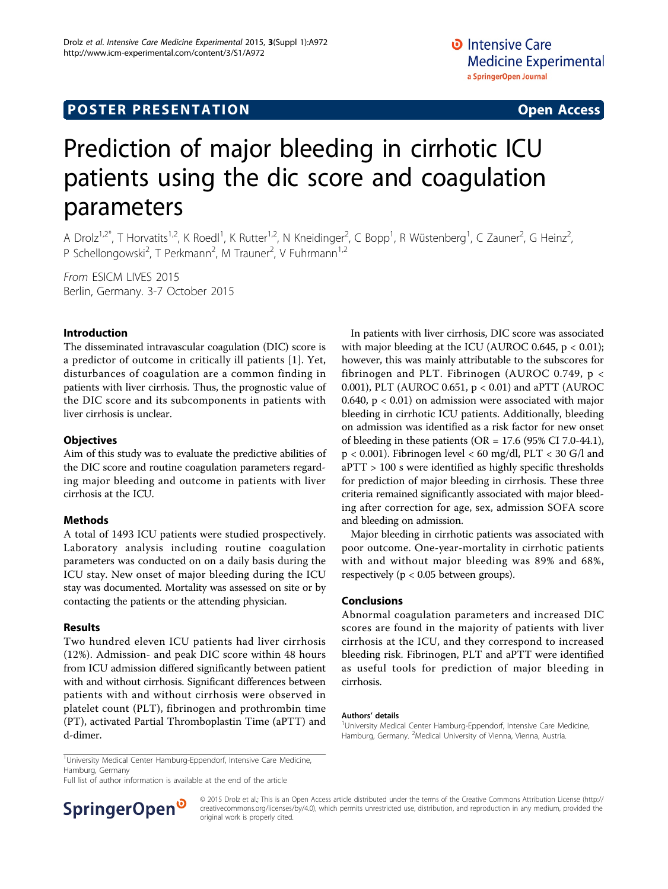# **POSTER PRESENTATION CONSUMING THE SERVICE SERVICE SERVICES**

# Prediction of major bleeding in cirrhotic ICU patients using the dic score and coagulation parameters

A Drolz<sup>1,2\*</sup>, T Horvatits<sup>1,2</sup>, K Roedl<sup>1</sup>, K Rutter<sup>1,2</sup>, N Kneidinger<sup>2</sup>, C Bopp<sup>1</sup>, R Wüstenberg<sup>1</sup>, C Zauner<sup>2</sup>, G Heinz<sup>2</sup> , P Schellongowski<sup>2</sup>, T Perkmann<sup>2</sup>, M Trauner<sup>2</sup>, V Fuhrmann<sup>1,2</sup>

From ESICM LIVES 2015 Berlin, Germany. 3-7 October 2015

## Introduction

The disseminated intravascular coagulation (DIC) score is a predictor of outcome in critically ill patients [\[1](#page-1-0)]. Yet, disturbances of coagulation are a common finding in patients with liver cirrhosis. Thus, the prognostic value of the DIC score and its subcomponents in patients with liver cirrhosis is unclear.

## **Objectives**

Aim of this study was to evaluate the predictive abilities of the DIC score and routine coagulation parameters regarding major bleeding and outcome in patients with liver cirrhosis at the ICU.

#### Methods

A total of 1493 ICU patients were studied prospectively. Laboratory analysis including routine coagulation parameters was conducted on on a daily basis during the ICU stay. New onset of major bleeding during the ICU stay was documented. Mortality was assessed on site or by contacting the patients or the attending physician.

#### Results

Two hundred eleven ICU patients had liver cirrhosis (12%). Admission- and peak DIC score within 48 hours from ICU admission differed significantly between patient with and without cirrhosis. Significant differences between patients with and without cirrhosis were observed in platelet count (PLT), fibrinogen and prothrombin time (PT), activated Partial Thromboplastin Time (aPTT) and d-dimer.

In patients with liver cirrhosis, DIC score was associated with major bleeding at the ICU (AUROC 0.645,  $p < 0.01$ ); however, this was mainly attributable to the subscores for fibrinogen and PLT. Fibrinogen (AUROC 0.749, p < 0.001), PLT (AUROC 0.651, p < 0.01) and aPTT (AUROC 0.640,  $p < 0.01$ ) on admission were associated with major bleeding in cirrhotic ICU patients. Additionally, bleeding on admission was identified as a risk factor for new onset of bleeding in these patients (OR =  $17.6$  (95% CI 7.0-44.1), p < 0.001). Fibrinogen level < 60 mg/dl, PLT < 30 G/l and aPTT > 100 s were identified as highly specific thresholds for prediction of major bleeding in cirrhosis. These three criteria remained significantly associated with major bleeding after correction for age, sex, admission SOFA score and bleeding on admission.

Major bleeding in cirrhotic patients was associated with poor outcome. One-year-mortality in cirrhotic patients with and without major bleeding was 89% and 68%, respectively ( $p < 0.05$  between groups).

## Conclusions

Abnormal coagulation parameters and increased DIC scores are found in the majority of patients with liver cirrhosis at the ICU, and they correspond to increased bleeding risk. Fibrinogen, PLT and aPTT were identified as useful tools for prediction of major bleeding in cirrhosis.

#### Authors' details <sup>1</sup>

Full list of author information is available at the end of the article



© 2015 Drolz et al.; This is an Open Access article distributed under the terms of the Creative Commons Attribution License [\(http://](http://creativecommons.org/licenses/by/4.0) [creativecommons.org/licenses/by/4.0](http://creativecommons.org/licenses/by/4.0)), which permits unrestricted use, distribution, and reproduction in any medium, provided the original work is properly cited.

<sup>&</sup>lt;sup>1</sup>University Medical Center Hamburg-Eppendorf, Intensive Care Medicine, Hamburg, Germany. <sup>2</sup>Medical University of Vienna, Vienna, Austria.

<sup>&</sup>lt;sup>1</sup>University Medical Center Hamburg-Eppendorf, Intensive Care Medicine, Hamburg, Germany